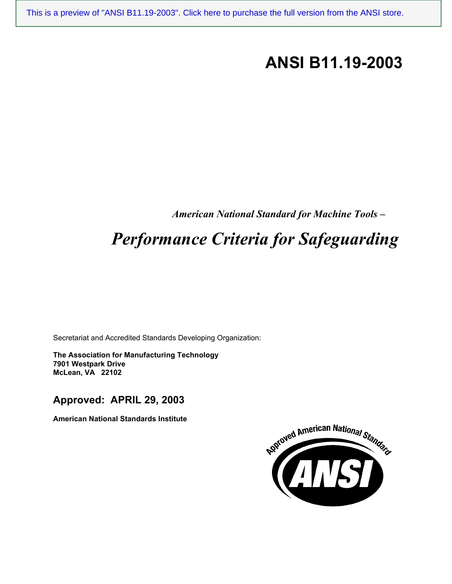# **ANSI B11.19-2003**

*American National Standard for Machine Tools –* 

# *Performance Criteria for Safeguarding*

Secretariat and Accredited Standards Developing Organization:

**The Association for Manufacturing Technology 7901 Westpark Drive McLean, VA 22102** 

## **Approved: APRIL 29, 2003**

**American National Standards Institute** 

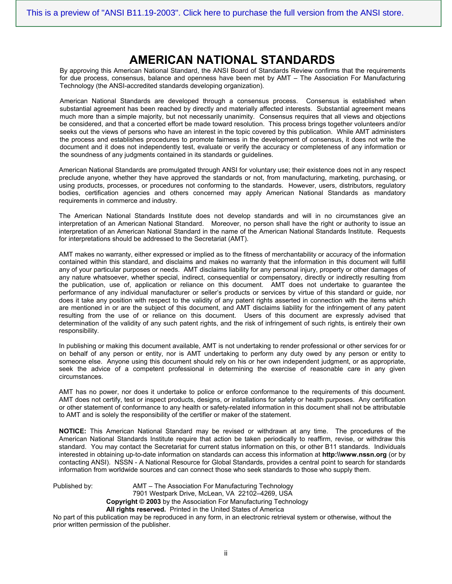# **AMERICAN NATIONAL STANDARDS**

By approving this American National Standard, the ANSI Board of Standards Review confirms that the requirements for due process, consensus, balance and openness have been met by AMT – The Association For Manufacturing Technology (the ANSI-accredited standards developing organization).

American National Standards are developed through a consensus process. Consensus is established when substantial agreement has been reached by directly and materially affected interests. Substantial agreement means much more than a simple majority, but not necessarily unanimity. Consensus requires that all views and objections be considered, and that a concerted effort be made toward resolution. This process brings together volunteers and/or seeks out the views of persons who have an interest in the topic covered by this publication. While AMT administers the process and establishes procedures to promote fairness in the development of consensus, it does not write the document and it does not independently test, evaluate or verify the accuracy or completeness of any information or the soundness of any judgments contained in its standards or guidelines.

American National Standards are promulgated through ANSI for voluntary use; their existence does not in any respect preclude anyone, whether they have approved the standards or not, from manufacturing, marketing, purchasing, or using products, processes, or procedures not conforming to the standards. However, users, distributors, regulatory bodies, certification agencies and others concerned may apply American National Standards as mandatory requirements in commerce and industry.

The American National Standards Institute does not develop standards and will in no circumstances give an interpretation of an American National Standard. Moreover, no person shall have the right or authority to issue an interpretation of an American National Standard in the name of the American National Standards Institute. Requests for interpretations should be addressed to the Secretariat (AMT).

AMT makes no warranty, either expressed or implied as to the fitness of merchantability or accuracy of the information contained within this standard, and disclaims and makes no warranty that the information in this document will fulfill any of your particular purposes or needs. AMT disclaims liability for any personal injury, property or other damages of any nature whatsoever, whether special, indirect, consequential or compensatory, directly or indirectly resulting from the publication, use of, application or reliance on this document. AMT does not undertake to guarantee the performance of any individual manufacturer or seller's products or services by virtue of this standard or guide, nor does it take any position with respect to the validity of any patent rights asserted in connection with the items which are mentioned in or are the subject of this document, and AMT disclaims liability for the infringement of any patent resulting from the use of or reliance on this document. Users of this document are expressly advised that determination of the validity of any such patent rights, and the risk of infringement of such rights, is entirely their own responsibility.

In publishing or making this document available, AMT is not undertaking to render professional or other services for or on behalf of any person or entity, nor is AMT undertaking to perform any duty owed by any person or entity to someone else. Anyone using this document should rely on his or her own independent judgment, or as appropriate, seek the advice of a competent professional in determining the exercise of reasonable care in any given circumstances.

AMT has no power, nor does it undertake to police or enforce conformance to the requirements of this document. AMT does not certify, test or inspect products, designs, or installations for safety or health purposes. Any certification or other statement of conformance to any health or safety-related information in this document shall not be attributable to AMT and is solely the responsibility of the certifier or maker of the statement.

**NOTICE:** This American National Standard may be revised or withdrawn at any time. The procedures of the American National Standards Institute require that action be taken periodically to reaffirm, revise, or withdraw this standard. You may contact the Secretariat for current status information on this, or other B11 standards. Individuals interested in obtaining up-to-date information on standards can access this information at **http:\\www.nssn.org** (or by contacting ANSI). NSSN - A National Resource for Global Standards, provides a central point to search for standards information from worldwide sources and can connect those who seek standards to those who supply them.

Published by: AMT – The Association For Manufacturing Technology 7901 Westpark Drive, McLean, VA 22102–4269, USA **Copyright © 2003** by the Association For Manufacturing Technology **All rights reserved.** Printed in the United States of America

No part of this publication may be reproduced in any form, in an electronic retrieval system or otherwise, without the prior written permission of the publisher.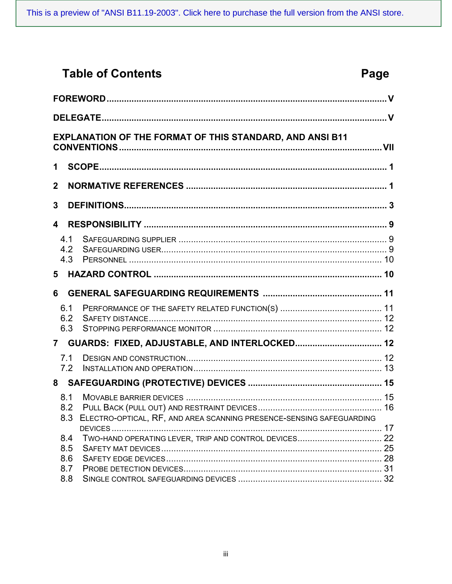# **Table of Contents**

|                | <b>EXPLANATION OF THE FORMAT OF THIS STANDARD, AND ANSI B11</b>                           |  |
|----------------|-------------------------------------------------------------------------------------------|--|
| 1              |                                                                                           |  |
| $\mathbf 2$    |                                                                                           |  |
| 3              |                                                                                           |  |
| 4              |                                                                                           |  |
|                | 4.1<br>4.2<br>4.3                                                                         |  |
| 5              |                                                                                           |  |
| 6              |                                                                                           |  |
|                | 6.1<br>6.2<br>6.3                                                                         |  |
| $\overline{7}$ |                                                                                           |  |
|                | 7.1<br>7.2                                                                                |  |
|                |                                                                                           |  |
|                | 8.1<br>8.2<br>8.3<br>ELECTRO-OPTICAL, RF, AND AREA SCANNING PRESENCE-SENSING SAFEGUARDING |  |
|                | 8.4<br>8.5<br>8.6                                                                         |  |
|                | 8.7<br>8.8                                                                                |  |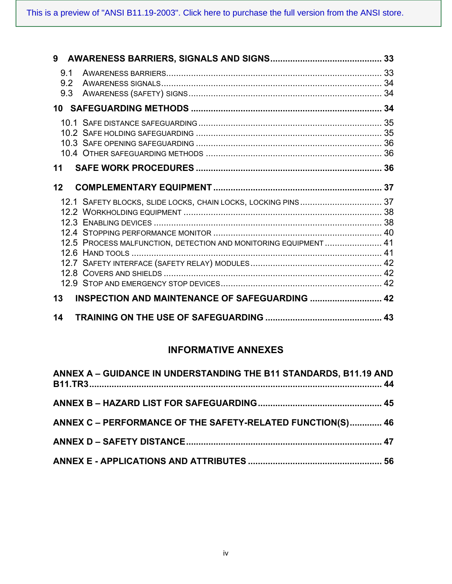| 9          |                                                                 |  |
|------------|-----------------------------------------------------------------|--|
| 9.1        |                                                                 |  |
| 9.2<br>9.3 |                                                                 |  |
|            |                                                                 |  |
|            |                                                                 |  |
|            |                                                                 |  |
|            |                                                                 |  |
|            |                                                                 |  |
|            |                                                                 |  |
| 12         |                                                                 |  |
|            |                                                                 |  |
|            |                                                                 |  |
|            | 12.1 SAFETY BLOCKS, SLIDE LOCKS, CHAIN LOCKS, LOCKING PINS 37   |  |
|            |                                                                 |  |
|            |                                                                 |  |
|            | 12.5 PROCESS MALFUNCTION, DETECTION AND MONITORING EQUIPMENT 41 |  |
|            |                                                                 |  |
|            |                                                                 |  |
|            |                                                                 |  |
| 13         | INSPECTION AND MAINTENANCE OF SAFEGUARDING  42                  |  |

## **INFORMATIVE ANNEXES**

| ANNEX A - GUIDANCE IN UNDERSTANDING THE B11 STANDARDS, B11.19 AND |  |
|-------------------------------------------------------------------|--|
|                                                                   |  |
| ANNEX C - PERFORMANCE OF THE SAFETY-RELATED FUNCTION(S) 46        |  |
|                                                                   |  |
|                                                                   |  |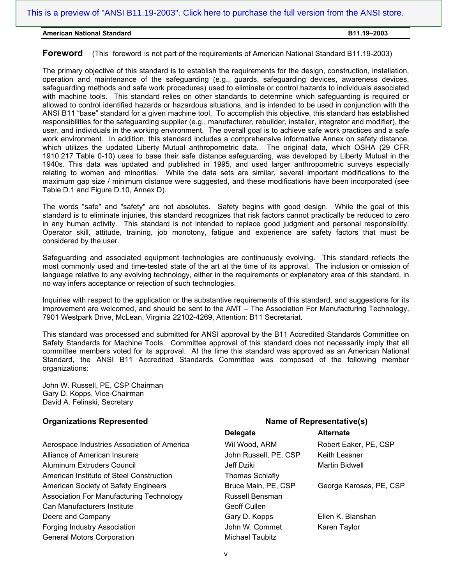<span id="page-4-0"></span>**Foreword** (This foreword is not part of the requirements of American National Standard B11.19-2003)

The primary objective of this standard is to establish the requirements for the design, construction, installation, operation and maintenance of the safeguarding (e.g., guards, safeguarding devices, awareness devices, safeguarding methods and safe work procedures) used to eliminate or control hazards to individuals associated with machine tools. This standard relies on other standards to determine which safeguarding is required or allowed to control identified hazards or hazardous situations, and is intended to be used in conjunction with the ANSI B11 "base" standard for a given machine tool. To accomplish this objective, this standard has established responsibilities for the safeguarding supplier (e.g., manufacturer, rebuilder, installer, integrator and modifier), the user, and individuals in the working environment. The overall goal is to achieve safe work practices and a safe work environment. In addition, this standard includes a comprehensive informative Annex on safety distance, which utilizes the updated Liberty Mutual anthropometric data. The original data, which OSHA (29 CFR 1910.217 Table 0-10) uses to base their safe distance safeguarding, was developed by Liberty Mutual in the 1940s. This data was updated and published in 1995, and used larger anthropometric surveys especially relating to women and minorities. While the data sets are similar, several important modifications to the maximum gap size / minimum distance were suggested, and these modifications have been incorporated (see Table D.1 and Figure D.10, Annex D).

The words "safe" and "safety" are not absolutes. Safety begins with good design. While the goal of this standard is to eliminate injuries, this standard recognizes that risk factors cannot practically be reduced to zero in any human activity. This standard is not intended to replace good judgment and personal responsibility. Operator skill, attitude, training, job monotony, fatigue and experience are safety factors that must be considered by the user.

Safeguarding and associated equipment technologies are continuously evolving. This standard reflects the most commonly used and time-tested state of the art at the time of its approval. The inclusion or omission of language relative to any evolving technology, either in the requirements or explanatory area of this standard, in no way infers acceptance or rejection of such technologies.

Inquiries with respect to the application or the substantive requirements of this standard, and suggestions for its improvement are welcomed, and should be sent to the AMT – The Association For Manufacturing Technology, 7901 Westpark Drive, McLean, Virginia 22102-4269, Attention: B11 Secretariat.

This standard was processed and submitted for ANSI approval by the B11 Accredited Standards Committee on Safety Standards for Machine Tools. Committee approval of this standard does not necessarily imply that all committee members voted for its approval. At the time this standard was approved as an American National Standard, the ANSI B11 Accredited Standards Committee was composed of the following member organizations:

John W. Russell, PE, CSP Chairman Gary D. Kopps, Vice-Chairman David A. Felinski, Secretary

### **Organizations Represented Community Community Community Community Community Community Community Community Community Community Community Community Community Community Community Community Community Community Community Commu**

|                                             | <b>Delegate</b>        | <b>Alternate</b>        |
|---------------------------------------------|------------------------|-------------------------|
| Aerospace Industries Association of America | Wil Wood, ARM          | Robert Eaker, PE, CSP   |
| Alliance of American Insurers               | John Russell, PE, CSP  | Keith Lessner           |
| <b>Aluminum Extruders Council</b>           | Jeff Dziki             | Martin Bidwell          |
| American Institute of Steel Construction    | <b>Thomas Schlafly</b> |                         |
| American Society of Safety Engineers        | Bruce Main, PE, CSP    | George Karosas, PE, CSP |
| Association For Manufacturing Technology    | Russell Bensman        |                         |
| Can Manufacturers Institute                 | Geoff Cullen           |                         |
| Deere and Company                           | Gary D. Kopps          | Ellen K. Blanshan       |
| Forging Industry Association                | John W. Commet         | Karen Taylor            |
| <b>General Motors Corporation</b>           | Michael Taubitz        |                         |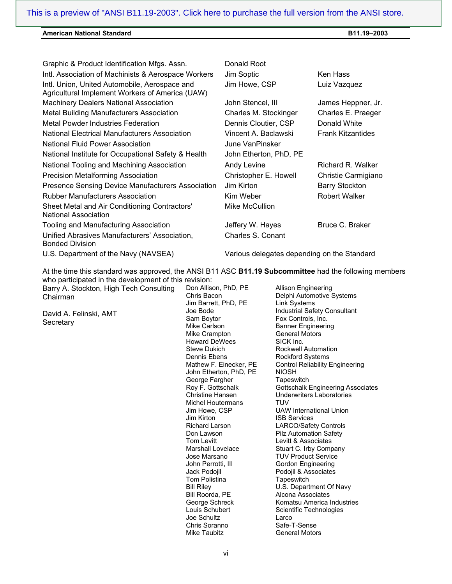| Graphic & Product Identification Mfgs. Assn.                                                     | Donald Root                                 |                          |
|--------------------------------------------------------------------------------------------------|---------------------------------------------|--------------------------|
| Intl. Association of Machinists & Aerospace Workers                                              | Jim Soptic                                  | Ken Hass                 |
| Intl. Union, United Automobile, Aerospace and<br>Agricultural Implement Workers of America (UAW) | Jim Howe, CSP                               | Luiz Vazquez             |
| <b>Machinery Dealers National Association</b>                                                    | John Stencel, III                           | James Heppner, Jr.       |
| <b>Metal Building Manufacturers Association</b>                                                  | Charles M. Stockinger                       | Charles E. Praeger       |
| Metal Powder Industries Federation                                                               | Dennis Cloutier, CSP                        | Donald White             |
| National Electrical Manufacturers Association                                                    | Vincent A. Baclawski                        | <b>Frank Kitzantides</b> |
| National Fluid Power Association                                                                 | June VanPinsker                             |                          |
| National Institute for Occupational Safety & Health                                              | John Etherton, PhD, PE                      |                          |
| National Tooling and Machining Association                                                       | Andy Levine                                 | Richard R. Walker        |
| <b>Precision Metalforming Association</b>                                                        | Christopher E. Howell                       | Christie Carmigiano      |
| <b>Presence Sensing Device Manufacturers Association</b>                                         | Jim Kirton                                  | <b>Barry Stockton</b>    |
| <b>Rubber Manufacturers Association</b>                                                          | Kim Weber                                   | <b>Robert Walker</b>     |
| Sheet Metal and Air Conditioning Contractors'<br><b>National Association</b>                     | Mike McCullion                              |                          |
| Tooling and Manufacturing Association                                                            | Jeffery W. Hayes                            | Bruce C. Braker          |
| Unified Abrasives Manufacturers' Association,<br><b>Bonded Division</b>                          | Charles S. Conant                           |                          |
| U.S. Department of the Navy (NAVSEA)                                                             | Various delegates depending on the Standard |                          |

At the time this standard was approved, the ANSI B11 ASC **B11.19 Subcommittee** had the following members who participated in the development of this revision:

David A. Felinski, AMT **Secretary** 

Chairman

Barry A. Stockton, High Tech Consulting

Don Allison, PhD, PE Chris Bacon Jim Barrett, PhD, PE Joe Bode Sam Boytor Mike Carlson Mike Crampton Howard DeWees Steve Dukich Dennis Ebens Mathew F. Einecker, PE John Etherton, PhD, PE George Fargher Roy F. Gottschalk Christine Hansen Michel Houtermans Jim Howe, CSP Jim Kirton Richard Larson Don Lawson Tom Levitt Marshall Lovelace Jose Marsano John Perrotti, III Jack Podojil Tom Polistina Bill Riley Bill Roorda, PE George Schreck Louis Schubert Joe Schultz Chris Soranno Mike Taubitz

Allison Engineering Delphi Automotive Systems Link Systems Industrial Safety Consultant Fox Controls, Inc. Banner Engineering General Motors SICK Inc. Rockwell Automation Rockford Systems Control Reliability Engineering NIOSH **Tapeswitch** Gottschalk Engineering Associates Underwriters Laboratories **TUV** UAW International Union ISB Services LARCO/Safety Controls Pilz Automation Safety Levitt & Associates Stuart C. Irby Company TUV Product Service Gordon Engineering Podojil & Associates **Tapeswitch** U.S. Department Of Navy Alcona Associates Komatsu America Industries Scientific Technologies Larco Safe-T-Sense General Motors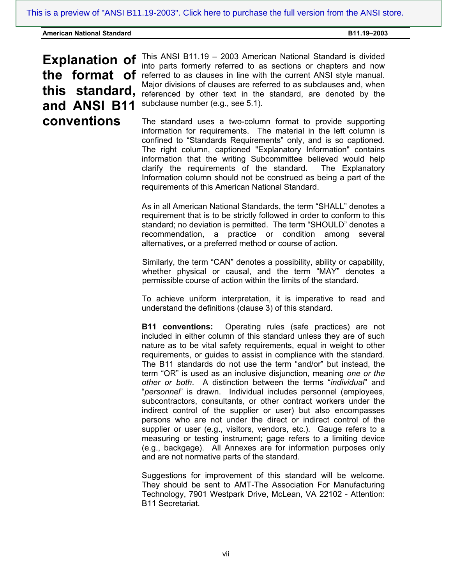# **Explanation of this standard, and ANSI B11 conventions**

<span id="page-6-0"></span>**the format of** referred to as clauses in line with the current ANSI style manual. This ANSI B11.19 – 2003 American National Standard is divided into parts formerly referred to as sections or chapters and now Major divisions of clauses are referred to as subclauses and, when referenced by other text in the standard, are denoted by the subclause number (e.g., see 5.1).

> The standard uses a two-column format to provide supporting information for requirements. The material in the left column is confined to "Standards Requirements" only, and is so captioned. The right column, captioned "Explanatory Information" contains information that the writing Subcommittee believed would help clarify the requirements of the standard. The Explanatory Information column should not be construed as being a part of the requirements of this American National Standard.

> As in all American National Standards, the term "SHALL" denotes a requirement that is to be strictly followed in order to conform to this standard; no deviation is permitted. The term "SHOULD" denotes a recommendation, a practice or condition among several alternatives, or a preferred method or course of action.

> Similarly, the term "CAN" denotes a possibility, ability or capability, whether physical or causal, and the term "MAY" denotes a permissible course of action within the limits of the standard.

> To achieve uniform interpretation, it is imperative to read and understand the definitions (clause 3) of this standard.

> **B11 conventions:** Operating rules (safe practices) are not included in either column of this standard unless they are of such nature as to be vital safety requirements, equal in weight to other requirements, or guides to assist in compliance with the standard. The B11 standards do not use the term "and/or" but instead, the term "OR" is used as an inclusive disjunction, meaning *one or the other or both*. A distinction between the terms "*individual*" and "*personnel*" is drawn. Individual includes personnel (employees, subcontractors, consultants, or other contract workers under the indirect control of the supplier or user) but also encompasses persons who are not under the direct or indirect control of the supplier or user (e.g., visitors, vendors, etc.). Gauge refers to a measuring or testing instrument; gage refers to a limiting device (e.g., backgage). All Annexes are for information purposes only and are not normative parts of the standard.

> Suggestions for improvement of this standard will be welcome. They should be sent to AMT-The Association For Manufacturing Technology, 7901 Westpark Drive, McLean, VA 22102 - Attention: B11 Secretariat.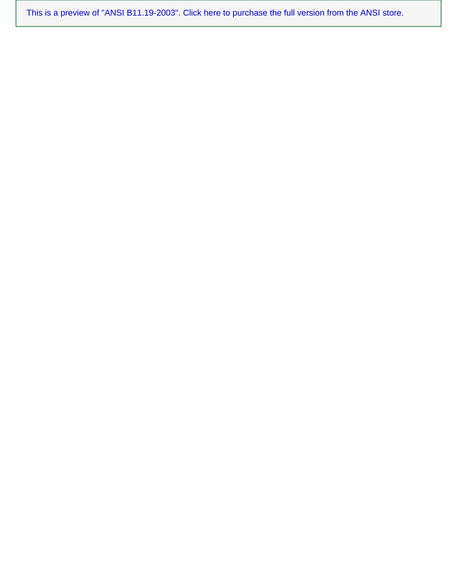[This is a preview of "ANSI B11.19-2003". Click here to purchase the full version from the ANSI store.](https://webstore.ansi.org/Standards/AMT/ANSIB11192003?source=preview)